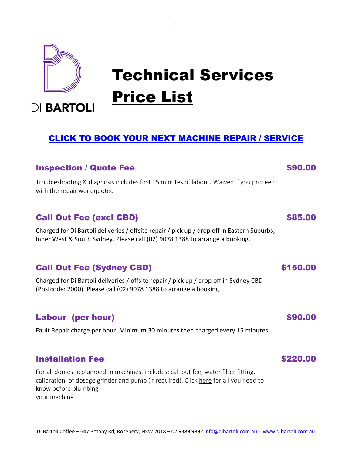

# Technical Services Price List

**DI BARTOLI** 

# [CLICK TO BOOK YOUR NEXT MACHINE REPAIR / SERVICE](https://bit.ly/dbtechbook)

1

# **Inspection / Quote Fee \$90.00 \$90.00 \$90.00 \$90.00 \$90.00 \$90.00 \$90.00 \$90.00 \$90.00 \$90.00 \$90.00 \$90.00 \$90.00 \$90.00 \$90.00 \$90.00 \$90.00 \$90.00 \$90.00 \$90.00 \$90.00 \$90.00 \$90.00 \$90.00 \$90.00 \$90.00 \$90.00 \$90.00 \$9**

Troubleshooting & diagnosis includes first 15 minutes of labour. Waived if you proceed with the repair work quoted

# Call Out Fee (excl CBD) \$85.00

Charged for Di Bartoli deliveries / offsite repair / pick up / drop off in Eastern Suburbs, Inner West & South Sydney. Please call (02) 9078 1388 to arrange a booking.

# Call Out Fee (Sydney CBD) 6150.00

Charged for Di Bartoli deliveries / offsite repair / pick up / drop off in Sydney CBD (Postcode: 2000). Please call (02) 9078 1388 to arrange a booking.

# Labour (per hour) \$90.00

Fault Repair charge per hour. Minimum 30 minutes then charged every 15 minutes.

# **Installation Fee \$220.00**

For all domestic plumbed-in machines, includes: call out fee, water filter fitting, calibration, of dosage grinder and pump (if required). Click here for all you need to know before plumbing your machine.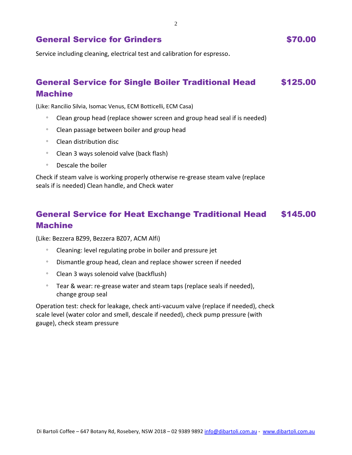2

# General Service for Grinders **\$70.00**

Service including cleaning, electrical test and calibration for espresso.

### General Service for Single Boiler Traditional Head Machine \$125.00

(Like: Rancilio Silvia, Isomac Venus, ECM Botticelli, ECM Casa)

- Clean group head (replace shower screen and group head seal if is needed)
- Clean passage between boiler and group head
- Clean distribution disc
- Clean 3 ways solenoid valve (back flash)
- Descale the boiler

Check if steam valve is working properly otherwise re-grease steam valve (replace seals if is needed) Clean handle, and Check water

### General Service for Heat Exchange Traditional Head Machine \$145.00

(Like: Bezzera BZ99, Bezzera BZ07, ACM Alfi)

- Cleaning: level regulating probe in boiler and pressure jet
- Dismantle group head, clean and replace shower screen if needed
- Clean 3 ways solenoid valve (backflush)
- <sup>o</sup> Tear & wear: re-grease water and steam taps (replace seals if needed), change group seal

Operation test: check for leakage, check anti-vacuum valve (replace if needed), check scale level (water color and smell, descale if needed), check pump pressure (with gauge), check steam pressure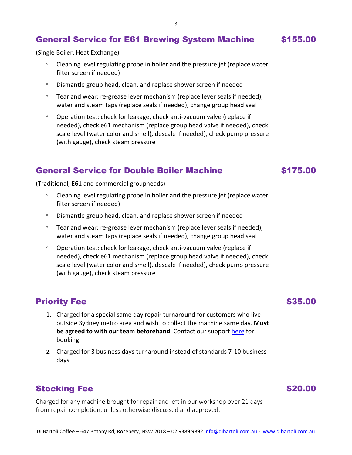# General Service for E61 Brewing System Machine \$155.00

(Single Boiler, Heat Exchange)

- Cleaning level regulating probe in boiler and the pressure jet (replace water filter screen if needed)
- Dismantle group head, clean, and replace shower screen if needed
- $\degree$  Tear and wear: re-grease lever mechanism (replace lever seals if needed), water and steam taps (replace seals if needed), change group head seal
- Operation test: check for leakage, check anti-vacuum valve (replace if needed), check e61 mechanism (replace group head valve if needed), check scale level (water color and smell), descale if needed), check pump pressure (with gauge), check steam pressure

# General Service for Double Boiler Machine \$175.00

(Traditional, E61 and commercial groupheads)

- Cleaning level regulating probe in boiler and the pressure jet (replace water filter screen if needed)
- Dismantle group head, clean, and replace shower screen if needed
- $\degree$  Tear and wear: re-grease lever mechanism (replace lever seals if needed), water and steam taps (replace seals if needed), change group head seal
- Operation test: check for leakage, check anti-vacuum valve (replace if needed), check e61 mechanism (replace group head valve if needed), check scale level (water color and smell), descale if needed), check pump pressure (with gauge), check steam pressure

# **Priority Fee** \$35.00

- 1. Charged for a special same day repair turnaround for customers who live outside Sydney metro area and wish to collect the machine same day. **Must be agreed to with our team beforehand**. Contact our support [here](https://dibartoli.com.au/contact-us/) for booking
- 2. Charged for 3 business days turnaround instead of standards 7-10 business days

# Stocking Fee  $$20.00$

Charged for any machine brought for repair and left in our workshop over 21 days from repair completion, unless otherwise discussed and approved.